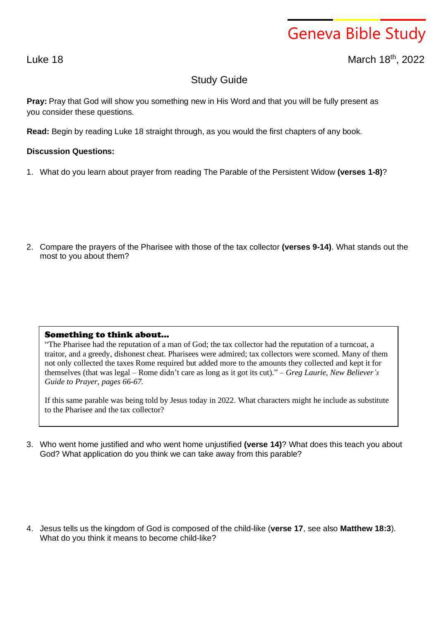## Geneva Bible Study

Luke 18 March 18<sup>th</sup>, 2022

## Study Guide

**Pray:** Pray that God will show you something new in His Word and that you will be fully present as you consider these questions.

**Read:** Begin by reading Luke 18 straight through, as you would the first chapters of any book.

## **Discussion Questions:**

1. What do you learn about prayer from reading The Parable of the Persistent Widow **(verses 1-8)**?

2. Compare the prayers of the Pharisee with those of the tax collector **(verses 9-14)**. What stands out the most to you about them?

## Something to think about…

"The Pharisee had the reputation of a man of God; the tax collector had the reputation of a turncoat, a traitor, and a greedy, dishonest cheat. Pharisees were admired; tax collectors were scorned. Many of them not only collected the taxes Rome required but added more to the amounts they collected and kept it for themselves (that was legal – Rome didn't care as long as it got its cut)." – *Greg Laurie, New Believer's Guide to Prayer, pages 66-67.*

If this same parable was being told by Jesus today in 2022. What characters might he include as substitute to the Pharisee and the tax collector?

3. Who went home justified and who went home unjustified **(verse 14)**? What does this teach you about God? What application do you think we can take away from this parable?

4. Jesus tells us the kingdom of God is composed of the child-like (**verse 17**, see also **Matthew 18:3**). What do you think it means to become child-like?